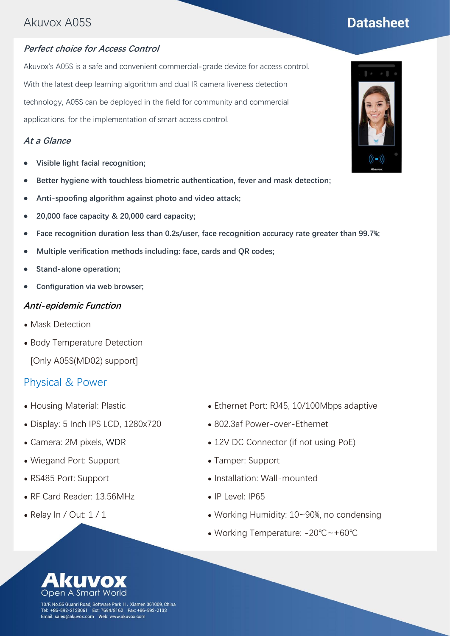### Akuvox A05S

#### **Perfect choice for Access Control**

Akuvox's A05S is a safe and convenient commercial-grade device for access control. With the latest deep learning algorithm and dual IR camera liveness detection technology, A05S can be deployed in the field for community and commercial applications, for the implementation of smart access control.

#### **At a Glance**

- ⚫ **Visible light facial recognition;**
- ⚫ **Better hygiene with touchless biometric authentication, fever and mask detection;**
- ⚫ **Anti-spoofing algorithm against photo and video attack;**
- ⚫ **20,000 face capacity & 20,000 card capacity;**
- ⚫ **Face recognition duration less than 0.2s/user, face recognition accuracy rate greater than 99.7%;**
- ⚫ **Multiple verification methods including: face, cards and QR codes;**
- ⚫ **Stand-alone operation;**
- ⚫ **Configuration via web browser;**

#### **Anti-epidemic Function**

- Mask Detection
- ⚫ Body Temperature Detection

[Only A05S(MD02) support]

#### Physical & Power

- ⚫ Housing Material: Plastic
- Display: 5 Inch IPS LCD, 1280x720
- ⚫ Camera: 2M pixels, WDR
- ⚫ Wiegand Port: Support
- ⚫ RS485 Port: Support
- ⚫ RF Card Reader: 13.56MHz
- Relay  $\ln /$  Out:  $1 / 1$
- ⚫ Ethernet Port: RJ45, 10/100Mbps adaptive
- ⚫ 802.3af Power-over-Ethernet
- 12V DC Connector (if not using PoE)
- ⚫ Tamper: Support
- ⚫ Installation: Wall-mounted
- ⚫ IP Level: IP65
- ⚫ Working Humidity: 10~90%, no condensing
- ⚫ Working Temperature: -20℃~+60℃



10/F, No.56 Guanri Road, Software Park II, Xiamen 361009, China Tel: +86-592-2133061 Ext: 7694/8162 Fax: +86-592-2133 



# **Datasheet**